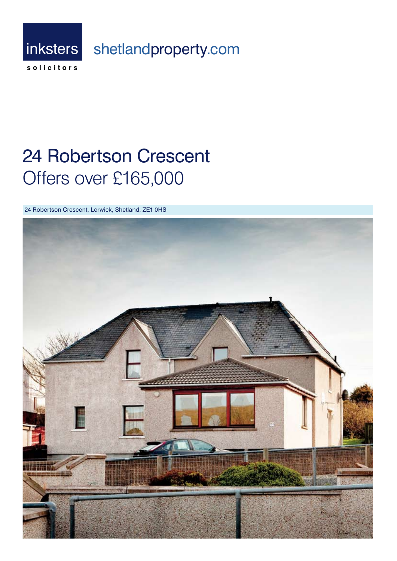

# **24 Robertson Crescent** Offers over £165,000

24 Robertson Crescent, Lerwick, Shetland, ZE1 0HS

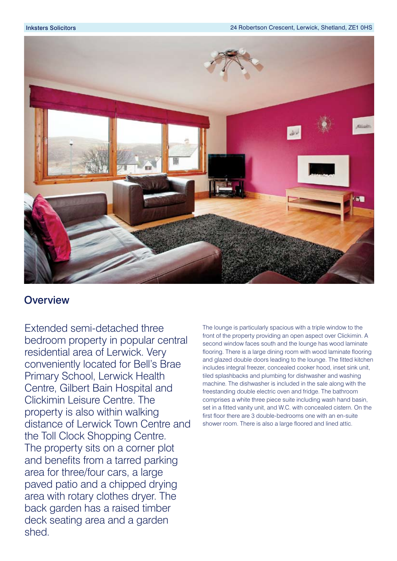

## **Overview**

Extended semi-detached three bedroom property in popular central residential area of Lerwick. Very conveniently located for Bell's Brae Primary School, Lerwick Health Centre, Gilbert Bain Hospital and Clickimin Leisure Centre. The property is also within walking distance of Lerwick Town Centre and the Toll Clock Shopping Centre. The property sits on a corner plot and benefits from a tarred parking area for three/four cars, a large paved patio and a chipped drying area with rotary clothes dryer. The back garden has a raised timber deck seating area and a garden shed.

The lounge is particularly spacious with a triple window to the front of the property providing an open aspect over Clickimin. A second window faces south and the lounge has wood laminate flooring. There is a large dining room with wood laminate flooring and glazed double doors leading to the lounge. The fitted kitchen includes integral freezer, concealed cooker hood, inset sink unit, tiled splashbacks and plumbing for dishwasher and washing machine. The dishwasher is included in the sale along with the freestanding double electric oven and fridge. The bathroom comprises a white three piece suite including wash hand basin, set in a fitted vanity unit, and W.C. with concealed cistern. On the first floor there are 3 double-bedrooms one with an en-suite shower room. There is also a large floored and lined attic.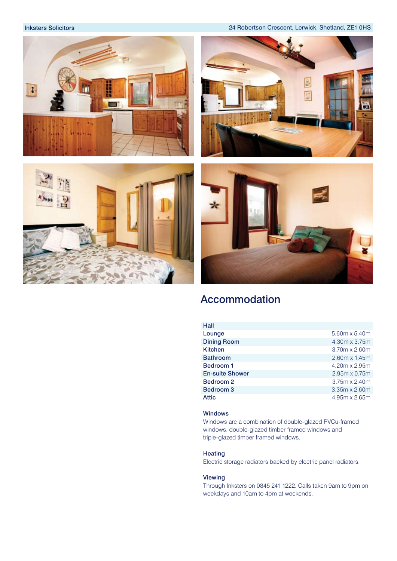Inksters Solicitors 24 Robertson Crescent, Lerwick, Shetland, ZE1 0HS









# Accommodation

| 5.60m x 5.40m        |
|----------------------|
| 4.30m x 3.75m        |
| 3.70m x 2.60m        |
| $2.60m \times 1.45m$ |
| 4.20m x 2.95m        |
| $2.95m \times 0.75m$ |
| $3.75m \times 2.40m$ |
| $3.35m \times 2.60m$ |
| 4.95m x 2.65m        |
|                      |

## Windows

Windows are a combination of double-glazed PVCu-framed windows, double-glazed timber framed windows and triple-glazed timber framed windows.

## Heating

Electric storage radiators backed by electric panel radiators.

## Viewing

Through Inksters on 0845 241 1222. Calls taken 9am to 9pm on weekdays and 10am to 4pm at weekends.